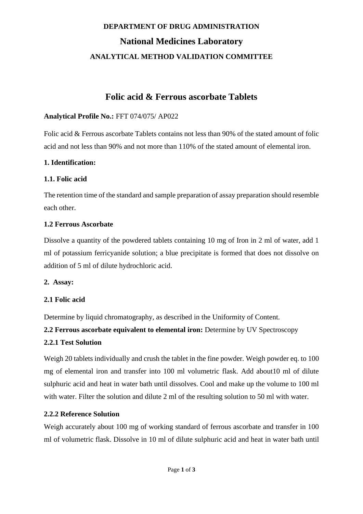# **DEPARTMENT OF DRUG ADMINISTRATION National Medicines Laboratory ANALYTICAL METHOD VALIDATION COMMITTEE**

# **Folic acid & Ferrous ascorbate Tablets**

# **Analytical Profile No.:** FFT 074/075/ AP022

Folic acid & Ferrous ascorbate Tablets contains not less than 90% of the stated amount of folic acid and not less than 90% and not more than 110% of the stated amount of elemental iron.

## **1. Identification:**

## **1.1. Folic acid**

The retention time of the standard and sample preparation of assay preparation should resemble each other.

## **1.2 Ferrous Ascorbate**

Dissolve a quantity of the powdered tablets containing 10 mg of Iron in 2 ml of water, add 1 ml of potassium ferricyanide solution; a blue precipitate is formed that does not dissolve on addition of 5 ml of dilute hydrochloric acid.

### **2. Assay:**

# **2.1 Folic acid**

Determine by liquid chromatography, as described in the Uniformity of Content.

**2.2 Ferrous ascorbate equivalent to elemental iron:** Determine by UV Spectroscopy **2.2.1 Test Solution**

Weigh 20 tablets individually and crush the tablet in the fine powder. Weigh powder eq. to 100 mg of elemental iron and transfer into 100 ml volumetric flask. Add about10 ml of dilute sulphuric acid and heat in water bath until dissolves. Cool and make up the volume to 100 ml with water. Filter the solution and dilute 2 ml of the resulting solution to 50 ml with water.

### **2.2.2 Reference Solution**

Weigh accurately about 100 mg of working standard of ferrous ascorbate and transfer in 100 ml of volumetric flask. Dissolve in 10 ml of dilute sulphuric acid and heat in water bath until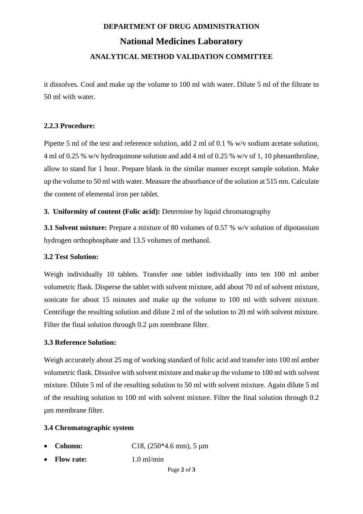# **DEPARTMENT OF DRUG ADMINISTRATION National Medicines Laboratory ANALYTICAL METHOD VALIDATION COMMITTEE**

it dissolves. Cool and make up the volume to 100 ml with water. Dilute 5 ml of the filtrate to 50 ml with water.

### **2.2.3 Procedure:**

Pipette 5 ml of the test and reference solution, add 2 ml of 0.1 % w/v sodium acetate solution, 4 ml of 0.25 % w/v hydroquinone solution and add 4 ml of 0.25 % w/v of 1, 10 phenanthroline, allow to stand for 1 hour. Prepare blank in the similar manner except sample solution. Make up the volume to 50 ml with water. Measure the absorbance of the solution at 515 nm. Calculate the content of elemental iron per tablet.

**3. Uniformity of content (Folic acid):** Determine by liquid chromatography

**3.1 Solvent mixture:** Prepare a mixture of 80 volumes of 0.57 % w/v solution of dipotassium hydrogen orthophosphate and 13.5 volumes of methanol.

### **3.2 Test Solution:**

Weigh individually 10 tablets. Transfer one tablet individually into ten 100 ml amber volumetric flask. Disperse the tablet with solvent mixture, add about 70 ml of solvent mixture, sonicate for about 15 minutes and make up the volume to 100 ml with solvent mixture. Centrifuge the resulting solution and dilute 2 ml of the solution to 20 ml with solvent mixture. Filter the final solution through 0.2 µm membrane filter.

#### **3.3 Reference Solution:**

Weigh accurately about 25 mg of working standard of folic acid and transfer into 100 ml amber volumetric flask. Dissolve with solvent mixture and make up the volume to 100 ml with solvent mixture. Dilute 5 ml of the resulting solution to 50 ml with solvent mixture. Again dilute 5 ml of the resulting solution to 100 ml with solvent mixture. Filter the final solution through 0.2 µm membrane filter.

#### **3.4 Chromatographic system**

- **Column:** C18, (250\*4.6 mm), 5 µm
- **Flow rate:** 1.0 ml/min